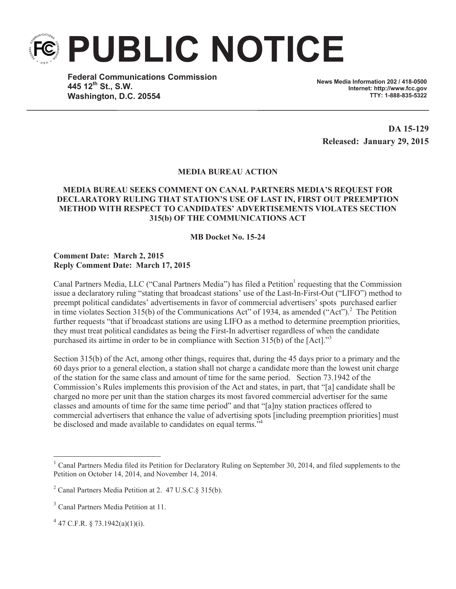

**Federal Communications Commission 445 12th St., S.W. Washington, D.C. 20554**

**News Media Information 202 / 418-0500 Internet: http://www.fcc.gov TTY: 1-888-835-5322**

**DA 15-129 Released: January 29, 2015**

## **MEDIA BUREAU ACTION**

## **MEDIA BUREAU SEEKS COMMENT ON CANAL PARTNERS MEDIA'S REQUEST FOR DECLARATORY RULING THAT STATION'S USE OF LAST IN, FIRST OUT PREEMPTION METHOD WITH RESPECT TO CANDIDATES' ADVERTISEMENTS VIOLATES SECTION 315(b) OF THE COMMUNICATIONS ACT**

## **MB Docket No. 15-24**

## **Comment Date: March 2, 2015 Reply Comment Date: March 17, 2015**

Canal Partners Media, LLC ("Canal Partners Media") has filed a Petition<sup>1</sup> requesting that the Commission issue a declaratory ruling "stating that broadcast stations' use of the Last-In-First-Out ("LIFO") method to preempt political candidates' advertisements in favor of commercial advertisers' spots purchased earlier in time violates Section 315(b) of the Communications Act" of 1934, as amended ("Act").<sup>2</sup> The Petition further requests "that if broadcast stations are using LIFO as a method to determine preemption priorities, they must treat political candidates as being the First-In advertiser regardless of when the candidate purchased its airtime in order to be in compliance with Section 315(b) of the [Act]."<sup>3</sup>

Section 315(b) of the Act, among other things, requires that, during the 45 days prior to a primary and the 60 days prior to a general election, a station shall not charge a candidate more than the lowest unit charge of the station for the same class and amount of time for the same period. Section 73.1942 of the Commission's Rules implements this provision of the Act and states, in part, that "[a] candidate shall be charged no more per unit than the station charges its most favored commercial advertiser for the same classes and amounts of time for the same time period" and that "[a]ny station practices offered to commercial advertisers that enhance the value of advertising spots [including preemption priorities] must be disclosed and made available to candidates on equal terms."<sup>4</sup>

<sup>&</sup>lt;sup>1</sup> Canal Partners Media filed its Petition for Declaratory Ruling on September 30, 2014, and filed supplements to the Petition on October 14, 2014, and November 14, 2014.

<sup>2</sup> Canal Partners Media Petition at 2. 47 U.S.C.§ 315(b).

<sup>&</sup>lt;sup>3</sup> Canal Partners Media Petition at 11.

 $4$  47 C.F.R. § 73.1942(a)(1)(i).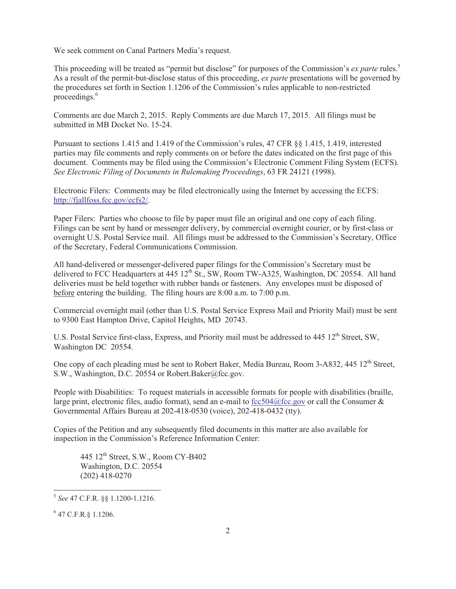We seek comment on Canal Partners Media's request.

This proceeding will be treated as "permit but disclose" for purposes of the Commission's *ex parte* rules.<sup>5</sup> As a result of the permit-but-disclose status of this proceeding, *ex parte* presentations will be governed by the procedures set forth in Section 1.1206 of the Commission's rules applicable to non-restricted proceedings.<sup>6</sup>

Comments are due March 2, 2015. Reply Comments are due March 17, 2015. All filings must be submitted in MB Docket No. 15-24.

Pursuant to sections 1.415 and 1.419 of the Commission's rules, 47 CFR §§ 1.415, 1.419, interested parties may file comments and reply comments on or before the dates indicated on the first page of this document. Comments may be filed using the Commission's Electronic Comment Filing System (ECFS). *See Electronic Filing of Documents in Rulemaking Proceedings*, 63 FR 24121 (1998).

Electronic Filers: Comments may be filed electronically using the Internet by accessing the ECFS: http://fjallfoss.fcc.gov/ecfs2/.

Paper Filers: Parties who choose to file by paper must file an original and one copy of each filing. Filings can be sent by hand or messenger delivery, by commercial overnight courier, or by first-class or overnight U.S. Postal Service mail. All filings must be addressed to the Commission's Secretary, Office of the Secretary, Federal Communications Commission.

All hand-delivered or messenger-delivered paper filings for the Commission's Secretary must be delivered to FCC Headquarters at 445 12<sup>th</sup> St., SW, Room TW-A325, Washington, DC 20554. All hand deliveries must be held together with rubber bands or fasteners. Any envelopes must be disposed of before entering the building. The filing hours are 8:00 a.m. to 7:00 p.m.

Commercial overnight mail (other than U.S. Postal Service Express Mail and Priority Mail) must be sent to 9300 East Hampton Drive, Capitol Heights, MD 20743.

U.S. Postal Service first-class, Express, and Priority mail must be addressed to 445 12<sup>th</sup> Street, SW, Washington DC 20554.

One copy of each pleading must be sent to Robert Baker, Media Bureau, Room 3-A832, 445 12<sup>th</sup> Street, S.W., Washington, D.C. 20554 or Robert.Baker@fcc.gov.

People with Disabilities: To request materials in accessible formats for people with disabilities (braille, large print, electronic files, audio format), send an e-mail to fcc504@fcc.gov or call the Consumer  $\&$ Governmental Affairs Bureau at 202-418-0530 (voice), 202-418-0432 (tty).

Copies of the Petition and any subsequently filed documents in this matter are also available for inspection in the Commission's Reference Information Center:

445 12<sup>th</sup> Street, S.W., Room CY-B402 Washington, D.C. 20554 (202) 418-0270

<sup>5</sup> *See* 47 C.F.R. §§ 1.1200-1.1216.

<sup>6</sup> 47 C.F.R.§ 1.1206.